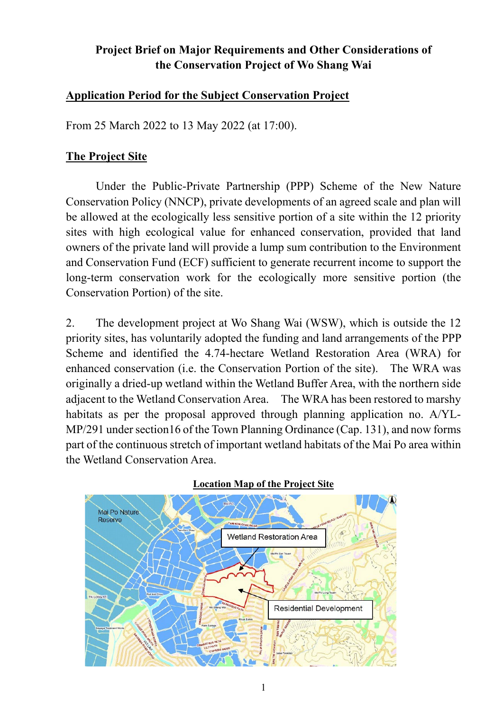# **Project Brief on Major Requirements and Other Considerations of the Conservation Project of Wo Shang Wai**

#### **Application Period for the Subject Conservation Project**

From 25 March 2022 to 13 May 2022 (at 17:00).

#### **The Project Site**

Under the Public-Private Partnership (PPP) Scheme of the New Nature Conservation Policy (NNCP), private developments of an agreed scale and plan will be allowed at the ecologically less sensitive portion of a site within the 12 priority sites with high ecological value for enhanced conservation, provided that land owners of the private land will provide a lump sum contribution to the Environment and Conservation Fund (ECF) sufficient to generate recurrent income to support the long-term conservation work for the ecologically more sensitive portion (the Conservation Portion) of the site.

2. The development project at Wo Shang Wai (WSW), which is outside the 12 priority sites, has voluntarily adopted the funding and land arrangements of the PPP Scheme and identified the 4.74-hectare Wetland Restoration Area (WRA) for enhanced conservation (i.e. the Conservation Portion of the site). The WRA was originally a dried-up wetland within the Wetland Buffer Area, with the northern side adjacent to the Wetland Conservation Area. The WRA has been restored to marshy habitats as per the proposal approved through planning application no. A/YL-MP/291 under section16 of the Town Planning Ordinance (Cap. 131), and now forms part of the continuous stretch of important wetland habitats of the Mai Po area within the Wetland Conservation Area.



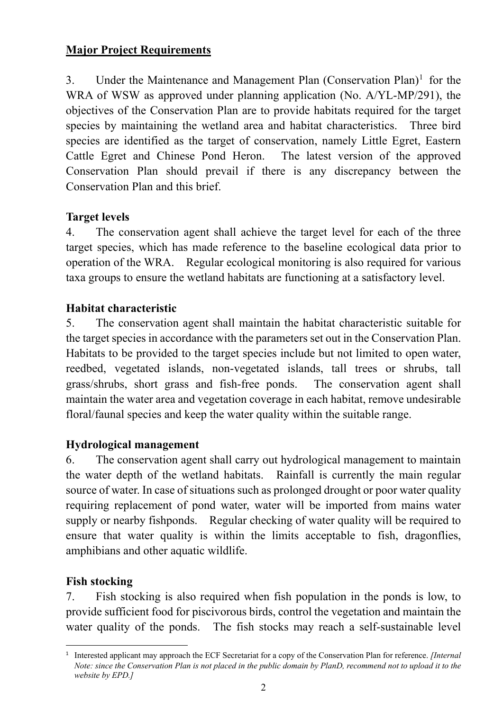# **Major Project Requirements**

3. Under the Maintenance and Management Plan (Conservation Plan)<sup>[1](#page-1-0)</sup> for the WRA of WSW as approved under planning application (No. A/YL-MP/291), the objectives of the Conservation Plan are to provide habitats required for the target species by maintaining the wetland area and habitat characteristics. Three bird species are identified as the target of conservation, namely Little Egret, Eastern Cattle Egret and Chinese Pond Heron. The latest version of the approved Conservation Plan should prevail if there is any discrepancy between the Conservation Plan and this brief.

# **Target levels**

4. The conservation agent shall achieve the target level for each of the three target species, which has made reference to the baseline ecological data prior to operation of the WRA. Regular ecological monitoring is also required for various taxa groups to ensure the wetland habitats are functioning at a satisfactory level.

### **Habitat characteristic**

5. The conservation agent shall maintain the habitat characteristic suitable for the target species in accordance with the parameters set out in the Conservation Plan. Habitats to be provided to the target species include but not limited to open water, reedbed, vegetated islands, non-vegetated islands, tall trees or shrubs, tall grass/shrubs, short grass and fish-free ponds. The conservation agent shall maintain the water area and vegetation coverage in each habitat, remove undesirable floral/faunal species and keep the water quality within the suitable range.

### **Hydrological management**

6. The conservation agent shall carry out hydrological management to maintain the water depth of the wetland habitats. Rainfall is currently the main regular source of water. In case of situations such as prolonged drought or poor water quality requiring replacement of pond water, water will be imported from mains water supply or nearby fishponds. Regular checking of water quality will be required to ensure that water quality is within the limits acceptable to fish, dragonflies, amphibians and other aquatic wildlife.

### **Fish stocking**

7. Fish stocking is also required when fish population in the ponds is low, to provide sufficient food for piscivorous birds, control the vegetation and maintain the water quality of the ponds. The fish stocks may reach a self-sustainable level

<span id="page-1-0"></span> <sup>1</sup> Interested applicant may approach the ECF Secretariat for a copy of the Conservation Plan for reference. *[Internal Note: since the Conservation Plan is not placed in the public domain by PlanD, recommend not to upload it to the website by EPD.]*